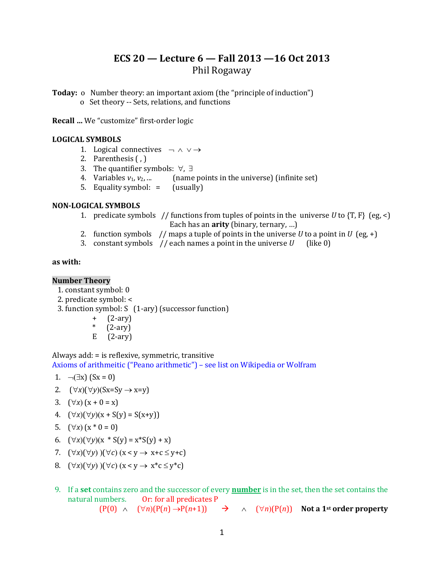## **ECS 20 — Lecture 6 — Fall 2013 —16 Oct 2013** Phil Rogaway

**Today: o** Number theory: an important axiom (the "principle of induction") o Set theory -- Sets, relations, and functions

**Recall …** We "customize" first-order logic

#### **LOGICAL SYMBOLS**

- 1. Logical connectives  $\neg \wedge \vee \rightarrow$
- 2. Parenthesis ( , )
- 3. The quantifier symbols:  $\forall$ ,  $\exists$
- 4. Variables  $v_1, v_2, ...$  (name points in the universe) (infinite set)
- 5. Equality symbol: = (usually)

#### **NON-LOGICAL SYMBOLS**

- 1. predicate symbols // functions from tuples of points in the universe *U* to {T, F} (eg, <) Each has an **arity** (binary, ternary, …)
- 2. function symbols  $//$  maps a tuple of points in the universe *U* to a point in *U* (eg, +)
- 3. constant symbols  $//$  each names a point in the universe  *(like 0)*

#### **as with:**

#### **Number Theory**

- 1. constant symbol: 0
- 2. predicate symbol: <

3. function symbol: S (1-ary) (successor function)

- + (2-ary)
- $*(2-ary)$
- E (2-ary)

Always add: = is reflexive, symmetric, transitive Axioms of arithmeitic ("Peano arithmetic") – see list on Wikipedia or Wolfram

- 1.  $\neg(\exists x)$  (Sx = 0)
- 2.  $(\forall x)(\forall y)(Sx=Sy \rightarrow x=y)$
- 3.  $(\forall x) (x + 0 = x)$
- 4.  $(\forall x)(\forall y)(x + S(y) = S(x+y))$
- 5.  $(\forall x) (x * 0 = 0)$
- 6.  $(\forall x)(\forall y)(x * S(y) = x * S(y) + x)$
- 7.  $(\forall x)(\forall y)(\forall c)(x < y \rightarrow x+c \leq y+c)$
- 8.  $(\forall x)(\forall y)$   $)(\forall c)$   $(x < y \rightarrow x^*c \leq y^*c)$
- 9. If a **set** contains zero and the successor of every **[number](http://www.britannica.com/EBchecked/topic/422286/number)** is in the set, then the set contains the natural numbers. Or: for all predicates P

 $(P(0) \wedge (\forall n)(P(n) \rightarrow P(n+1)) \rightarrow \wedge (\forall n)(P(n))$  Not a 1<sup>st</sup> order property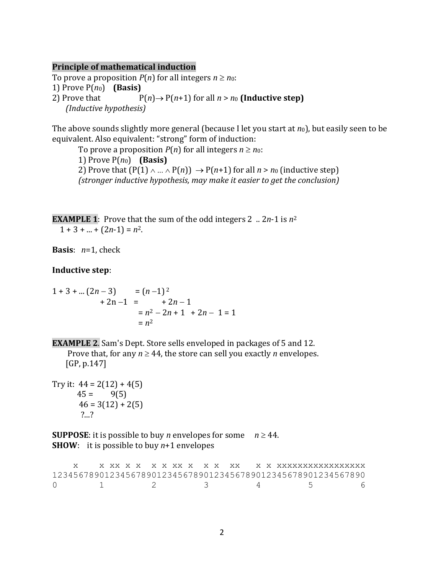#### **Principle of mathematical induction**

To prove a proposition  $P(n)$  for all integers  $n \geq n_0$ : 1) Prove  $P(n_0)$  (**Basis**) 2) Prove that  $P(n) \rightarrow P(n+1)$  for all  $n > n_0$  (Inductive step) *(Inductive hypothesis)*

The above sounds slightly more general (because I let you start at *n*0), but easily seen to be equivalent. Also equivalent: "strong" form of induction:

To prove a proposition  $P(n)$  for all integers  $n \geq n_0$ : 1) Prove  $P(n_0)$  (**Basis**) 2) Prove that  $(P(1) \wedge ... \wedge P(n)) \rightarrow P(n+1)$  for all  $n > n_0$  (inductive step) *(stronger inductive hypothesis, may make it easier to get the conclusion)*

**EXAMPLE 1**: Prove that the sum of the odd integers 2 .. 2*n*-1 is  $n^2$  $1 + 3 + ... + (2n-1) = n^2$ .

**Basis**: *n*=1, check

**Inductive step**:

$$
1+3+ ... (2n-3) = (n-1)2+ 2n-1 = +2n-1= n2 - 2n + 1 + 2n - 1 = 1= n2
$$

**EXAMPLE 2**. Sam's Dept. Store sells enveloped in packages of 5 and 12.

Prove that, for any  $n \geq 44$ , the store can sell you exactly *n* envelopes. [GP, p.147]

Try it:  $44 = 2(12) + 4(5)$  $45 = 9(5)$  $46 = 3(12) + 2(5)$ ?...?

**SUPPOSE:** it is possible to buy *n* envelopes for some  $n \ge 44$ . **SHOW**: it is possible to buy *n*+1 envelopes

 x x xx x x x x xx x x x xx x x xxxxxxxxxxxxxxxxx 123456789012345678901234567890123456789012345678901234567890 0 1 2 3 4 5 6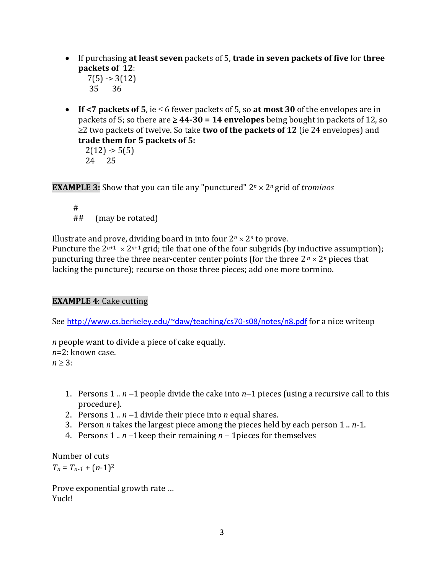If purchasing **at least seven** packets of 5, **trade in seven packets of five** for **three packets of 12**:

 $7(5)$  -> 3(12) 35 36

**If <7 packets of 5,** ie  $\leq 6$  fewer packets of 5, so **at most 30** of the envelopes are in packets of 5; so there are  $\geq 44-30 = 14$  envelopes being bought in packets of 12, so  $\geq$ 2 two packets of twelve. So take **two of the packets of 12** (ie 24 envelopes) and **trade them for 5 packets of 5:**

 $2(12) \rightarrow 5(5)$ 24 25

**EXAMPLE 3:** Show that you can tile any "punctured"  $2^n \times 2^n$  grid of *trominos* 

 # ## (may be rotated)

Illustrate and prove, dividing board in into four  $2^n \times 2^n$  to prove.

Puncture the  $2^{n+1} \times 2^{n+1}$  grid; tile that one of the four subgrids (by inductive assumption); puncturing three the three near-center center points (for the three  $2^n \times 2^n$  pieces that lacking the puncture); recurse on those three pieces; add one more tormino.

### **EXAMPLE 4**: Cake cutting

See <http://www.cs.berkeley.edu/~daw/teaching/cs70-s08/notes/n8.pdf> for a nice writeup

*n* people want to divide a piece of cake equally. *n*=2: known case.  $n \geq 3$ :

- 1. Persons 1  $\ldots$  *n* -1 people divide the cake into *n*-1 pieces (using a recursive call to this procedure).
- 2. Persons  $1 \ldots n-1$  divide their piece into *n* equal shares.
- 3. Person *n* takes the largest piece among the pieces held by each person 1 .. *n*-1.
- 4. Persons  $1 \ldots n-1$  keep their remaining  $n-1$  pieces for themselves

Number of cuts  $T_n = T_{n-1} + (n-1)^2$ 

Prove exponential growth rate … Yuck!